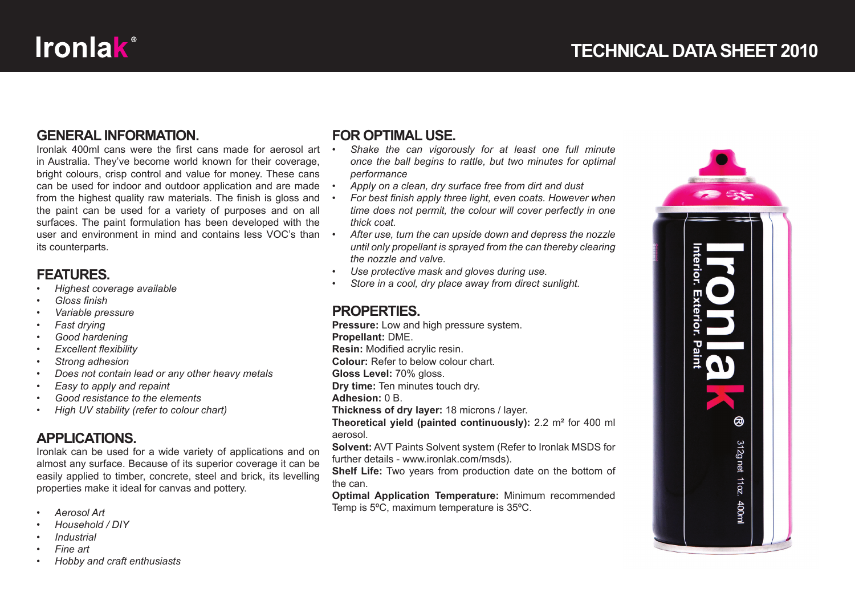

#### **GENERAL INFORMATION.**

Ironlak 400ml cans were the first cans made for aerosol art  $\cdot$ in Australia. They've become world known for their coverage, bright colours, crisp control and value for money. These cans can be used for indoor and outdoor application and are made from the highest quality raw materials. The finish is gloss and the paint can be used for a variety of purposes and on all surfaces. The paint formulation has been developed with the user and environment in mind and contains less VOC's than  $\cdot$ its counterparts.

#### **FEATURES.**

- *Highest coverage available*
- *Gloss fi nish*
- *Variable pressure*
- *Fast drying*
- *Good hardening*
- *Excellent flexibility*
- *Strong adhesion*
- *Does not contain lead or any other heavy metals*
- *Easy to apply and repaint*
- *Good resistance to the elements*
- *High UV stability (refer to colour chart)*

# **APPLICATIONS.**

Ironlak can be used for a wide variety of applications and on almost any surface. Because of its superior coverage it can be easily applied to timber, concrete, steel and brick, its levelling properties make it ideal for canvas and pottery.

- *Aerosol Art*
- *Household / DIY*
- *Industrial*
- *Fine art*
- *Hobby and craft enthusiasts*

## **FOR OPTIMAL USE.**

- *Shake the can vigorously for at least one full minute once the ball begins to rattle, but two minutes for optimal performance*
- *Apply on a clean, dry surface free from dirt and dust*
- For best finish apply three light, even coats. However when *time does not permit, the colour will cover perfectly in one thick coat.*
- *After use, turn the can upside down and depress the nozzle until only propellant is sprayed from the can thereby clearing the nozzle and valve.*
- *Use protective mask and gloves during use.*
- *Store in a cool, dry place away from direct sunlight.*

## **PROPERTIES.**

**Pressure:** Low and high pressure system. **Propellant:** DME. **Resin:** Modified acrylic resin. **Colour:** Refer to below colour chart. **Gloss Level:** 70% gloss. **Dry time:** Ten minutes touch dry. **Adhesion:** 0 B. **Thickness of dry layer:** 18 microns / layer. **Theoretical yield (painted continuously):** 2.2 m² for 400 ml aerosol. **Solvent:** AVT Paints Solvent system (Refer to Ironlak MSDS for further details - www.ironlak.com/msds).

**Shelf Life:** Two years from production date on the bottom of the can.

**Optimal Application Temperature:** Minimum recommended Temp is 5ºC, maximum temperature is 35ºC.